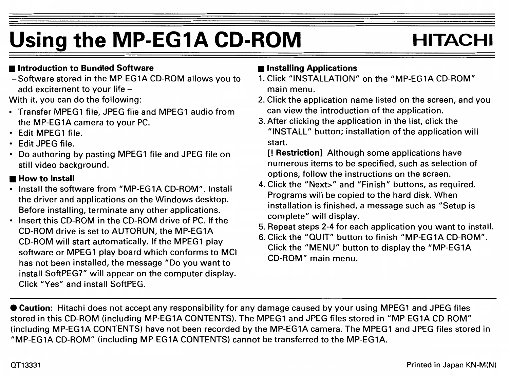# Using the MP-EG1A CD-ROM **HITACHI**

## ■ **Introduction to Bundled Software**

-Software stored in the MP-EG1A CD-ROM allows you to add excitement to your life -

With it, you can do the following:

- Transfer MPEG1 file, JPEG file and MPEG1 audio from the MP-EG1A camera to your PC.
- Edit MPEG1 file.
- Edit JPEG file.
- Do authoring by pasting MPEG1 file and JPEG file on still video background.

## ■ **How to Install**

- Install the software from "MP-EG1A CD-ROM". Install the driver and applications on the Windows desktop. Before installing, terminate any other applications.
- lnsert this CD-ROM in the CD-ROM drive of PC. If the CD-ROM drive is set to AUTORUN, the MP-EG1A CD-ROM will start automatically. If the MPEG1 play software or MPEG1 play board which conforms to MCI has not been installed, the message "Do you want to install SoftPEG?" will appear on the computer display. Click "Yes" and install SoftPEG.

## ■ **lnstalling Applications**

- 1. Click "INSTALLATION" on the "MP-EG1A CD-ROM" main menu.
- 2. Click the application name listed on the screen, and you can view the introduction of the application.
- 3. After clicking the application in the list, click the "INSTALL" button; installation of the application will start.

[! **Restriction]** Although some applications have numerous items to be specified, such as selection of options, follow the instructions on the screen.

- 4. Click the "Next>" and "Finish" buttons, as required. Programs will be copied to the hard disk. When installation is finished, a message such as "Setup is complete" will display.
- 5. Repeat steps 2-4 for each application you want to install.
- 6. Click the "QUIT" button to finish "MP-EG1A CD-ROM". Click the "MENU" button to display the "MP-EG1A CD-ROM" main menu.

• **Caution:** Hitachi does not accept any responsibility for any damage caused by your using MPEG1 and JPEG files stored in this CD-ROM (including MP-EG1A CONTENTS). The MPEG1 and JPEG files stored in "MP-EG1A CD-ROM" (including MP-EG1A CONTENTS) have not been recorded by the MP-EG1A camera. The MPEG1 and JPEG files stored in "MP-EG1A CD-ROM" (including MP-EG1A CONTENTS) cannot be transferred to the MP-EG1A.